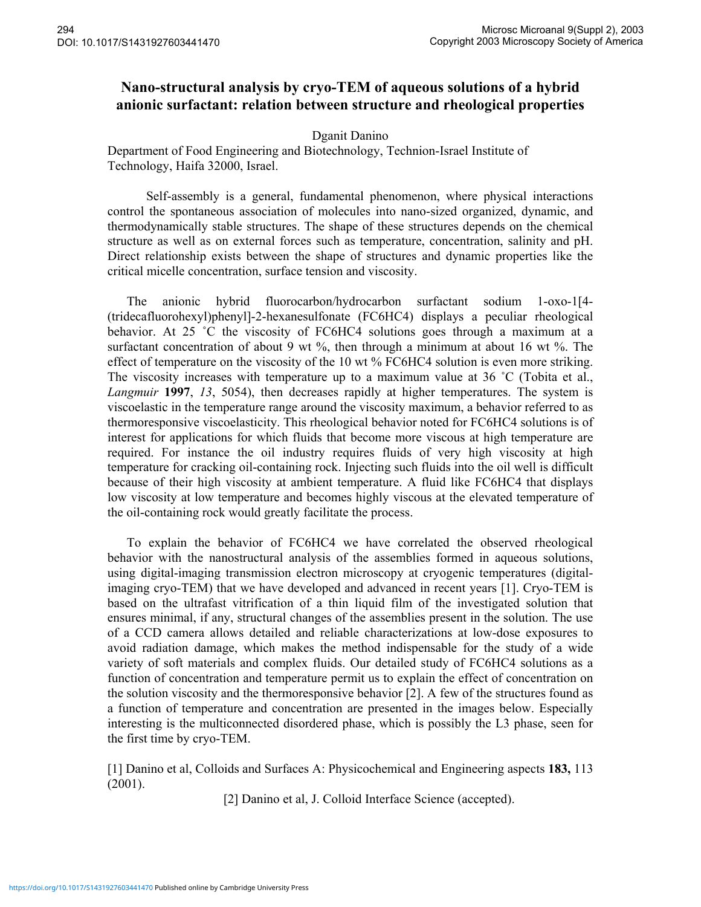## **Nano-structural analysis by cryo-TEM of aqueous solutions of a hybrid anionic surfactant: relation between structure and rheological properties**

## Dganit Danino

Department of Food Engineering and Biotechnology, Technion-Israel Institute of Technology, Haifa 32000, Israel.

Self-assembly is a general, fundamental phenomenon, where physical interactions control the spontaneous association of molecules into nano-sized organized, dynamic, and thermodynamically stable structures. The shape of these structures depends on the chemical structure as well as on external forces such as temperature, concentration, salinity and pH. Direct relationship exists between the shape of structures and dynamic properties like the critical micelle concentration, surface tension and viscosity.

The anionic hybrid fluorocarbon/hydrocarbon surfactant sodium 1-oxo-1[4- (tridecafluorohexyl)phenyl]-2-hexanesulfonate (FC6HC4) displays a peculiar rheological behavior. At 25 ˚C the viscosity of FC6HC4 solutions goes through a maximum at a surfactant concentration of about 9 wt %, then through a minimum at about 16 wt %. The effect of temperature on the viscosity of the 10 wt % FC6HC4 solution is even more striking. The viscosity increases with temperature up to a maximum value at 36 °C (Tobita et al., *Langmuir* **1997**, *13*, 5054), then decreases rapidly at higher temperatures. The system is viscoelastic in the temperature range around the viscosity maximum, a behavior referred to as thermoresponsive viscoelasticity. This rheological behavior noted for FC6HC4 solutions is of interest for applications for which fluids that become more viscous at high temperature are required. For instance the oil industry requires fluids of very high viscosity at high temperature for cracking oil-containing rock. Injecting such fluids into the oil well is difficult because of their high viscosity at ambient temperature. A fluid like FC6HC4 that displays low viscosity at low temperature and becomes highly viscous at the elevated temperature of the oil-containing rock would greatly facilitate the process.

To explain the behavior of FC6HC4 we have correlated the observed rheological behavior with the nanostructural analysis of the assemblies formed in aqueous solutions, using digital-imaging transmission electron microscopy at cryogenic temperatures (digitalimaging cryo-TEM) that we have developed and advanced in recent years [1]. Cryo-TEM is based on the ultrafast vitrification of a thin liquid film of the investigated solution that ensures minimal, if any, structural changes of the assemblies present in the solution. The use of a CCD camera allows detailed and reliable characterizations at low-dose exposures to avoid radiation damage, which makes the method indispensable for the study of a wide variety of soft materials and complex fluids. Our detailed study of FC6HC4 solutions as a function of concentration and temperature permit us to explain the effect of concentration on the solution viscosity and the thermoresponsive behavior [2]. A few of the structures found as a function of temperature and concentration are presented in the images below. Especially interesting is the multiconnected disordered phase, which is possibly the L3 phase, seen for the first time by cryo-TEM.

[1] Danino et al, Colloids and Surfaces A: Physicochemical and Engineering aspects **183,** 113 (2001).

[2] Danino et al, J. Colloid Interface Science (accepted).